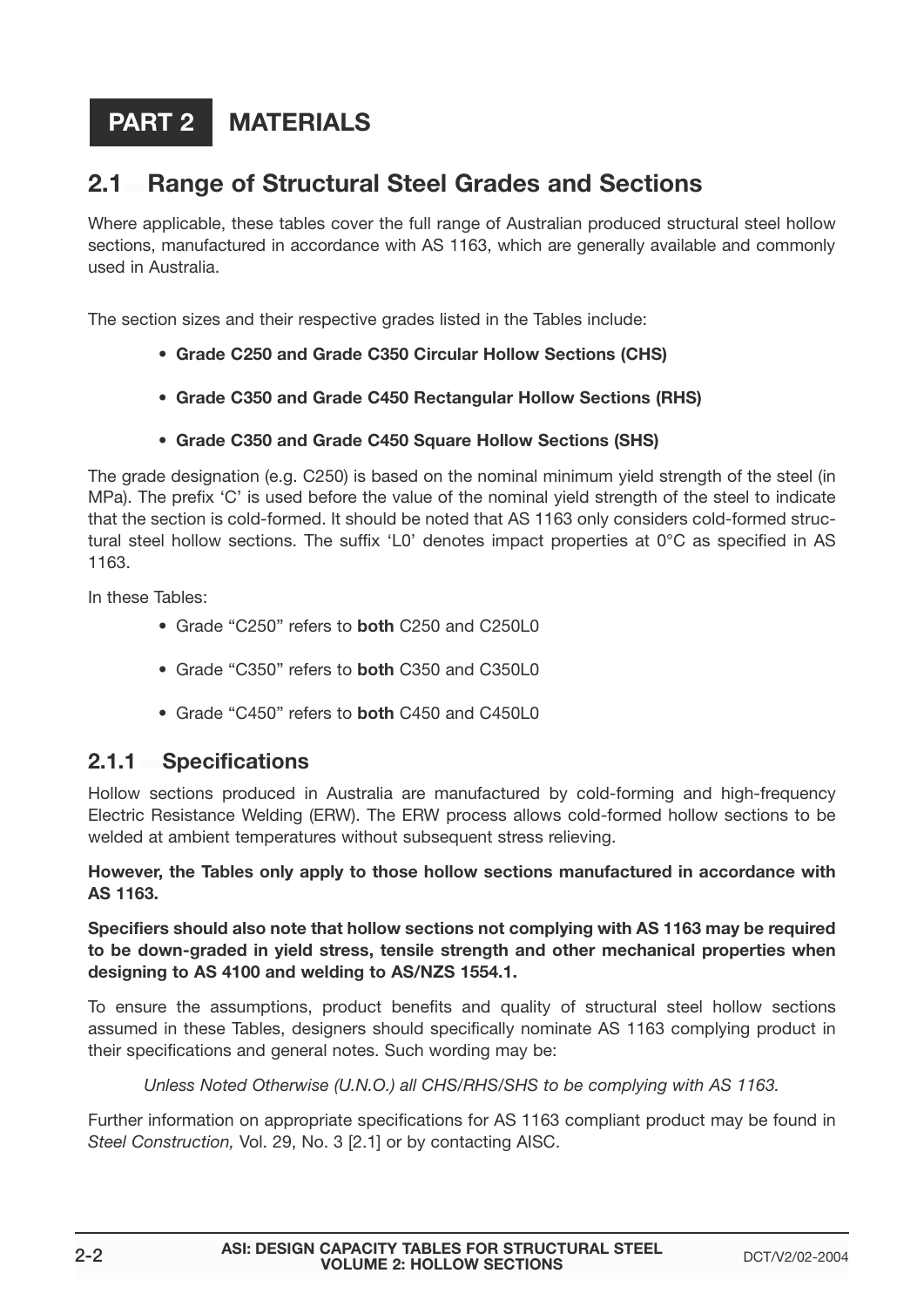### **MATERIALS PART 2**

### **2.1 Range of Structural Steel Grades and Sections**

Where applicable, these tables cover the full range of Australian produced structural steel hollow sections, manufactured in accordance with AS 1163, which are generally available and commonly used in Australia.

The section sizes and their respective grades listed in the Tables include:

- **Grade C250 and Grade C350 Circular Hollow Sections (CHS)**
- **• Grade C350 and Grade C450 Rectangular Hollow Sections (RHS)**
- **• Grade C350 and Grade C450 Square Hollow Sections (SHS)**

The grade designation (e.g. C250) is based on the nominal minimum yield strength of the steel (in MPa). The prefix 'C' is used before the value of the nominal yield strength of the steel to indicate that the section is cold-formed. It should be noted that AS 1163 only considers cold-formed structural steel hollow sections. The suffix 'L0' denotes impact properties at 0°C as specified in AS 1163.

In these Tables:

- Grade "C250" refers to **both** C250 and C250L0
- Grade "C350" refers to **both** C350 and C350L0
- Grade "C450" refers to **both** C450 and C450L0

### **2.1.1 Specifications**

Hollow sections produced in Australia are manufactured by cold-forming and high-frequency Electric Resistance Welding (ERW). The ERW process allows cold-formed hollow sections to be welded at ambient temperatures without subsequent stress relieving.

### **However, the Tables only apply to those hollow sections manufactured in accordance with AS 1163.**

**Specifiers should also note that hollow sections not complying with AS 1163 may be required to be down-graded in yield stress, tensile strength and other mechanical properties when designing to AS 4100 and welding to AS/NZS 1554.1.**

To ensure the assumptions, product benefits and quality of structural steel hollow sections assumed in these Tables, designers should specifically nominate AS 1163 complying product in their specifications and general notes. Such wording may be:

*Unless Noted Otherwise (U.N.O.) all CHS/RHS/SHS to be complying with AS 1163.*

Further information on appropriate specifications for AS 1163 compliant product may be found in *Steel Construction,* Vol. 29, No. 3 [2.1] or by contacting AISC.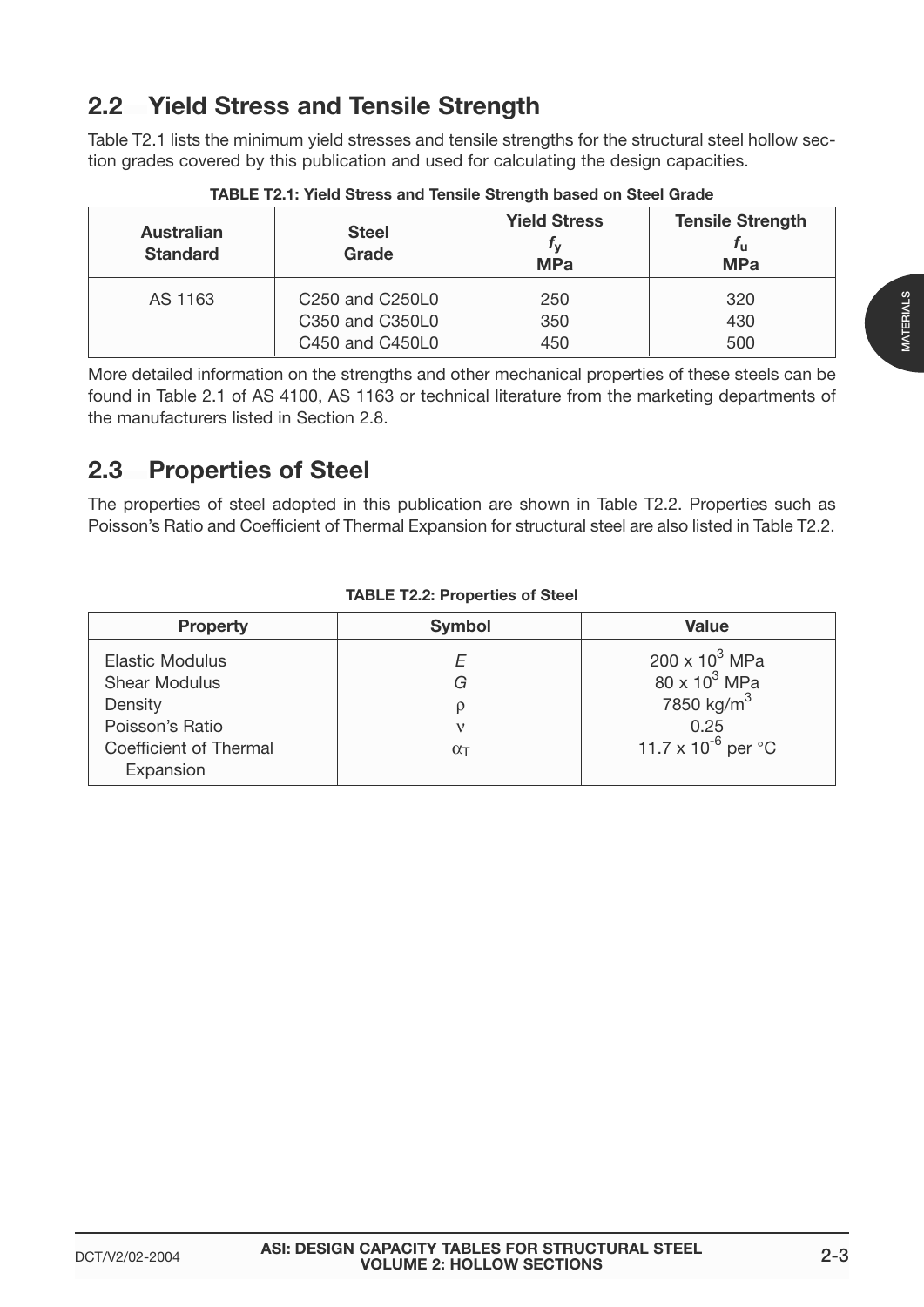### **2.2 Yield Stress and Tensile Strength**

Table T2.1 lists the minimum yield stresses and tensile strengths for the structural steel hollow section grades covered by this publication and used for calculating the design capacities.

| <b>Australian</b><br><b>Standard</b> | <b>Steel</b><br>Grade                                | <b>Yield Stress</b><br>$\mathbf{r}_{\mathbf{v}}$<br><b>MPa</b> | <b>Tensile Strength</b><br>$f_{\rm u}$<br><b>MPa</b> |
|--------------------------------------|------------------------------------------------------|----------------------------------------------------------------|------------------------------------------------------|
| AS 1163                              | C <sub>250</sub> and C <sub>250</sub> L <sub>0</sub> | 250                                                            | 320                                                  |
|                                      | C350 and C350L0                                      | 350                                                            | 430                                                  |
|                                      | C450 and C450L0                                      | 450                                                            | 500                                                  |

**TABLE T2.1: Yield Stress and Tensile Strength based on Steel Grade**

More detailed information on the strengths and other mechanical properties of these steels can be found in Table 2.1 of AS 4100, AS 1163 or technical literature from the marketing departments of the manufacturers listed in Section 2.8.

### **2.3 Properties of Steel**

The properties of steel adopted in this publication are shown in Table T2.2. Properties such as Poisson's Ratio and Coefficient of Thermal Expansion for structural steel are also listed in Table T2.2.

| <b>Symbol</b> | <b>Value</b>                      |
|---------------|-----------------------------------|
|               | 200 x $10^3$ MPa                  |
| G             | $80 \times 10^3$ MPa              |
|               | 7850 kg/m <sup>3</sup>            |
|               | 0.25                              |
| O(T)          | 11.7 x $10^{-6}$ per $^{\circ}$ C |
|               |                                   |
|               |                                   |

### **TABLE T2.2: Properties of Steel**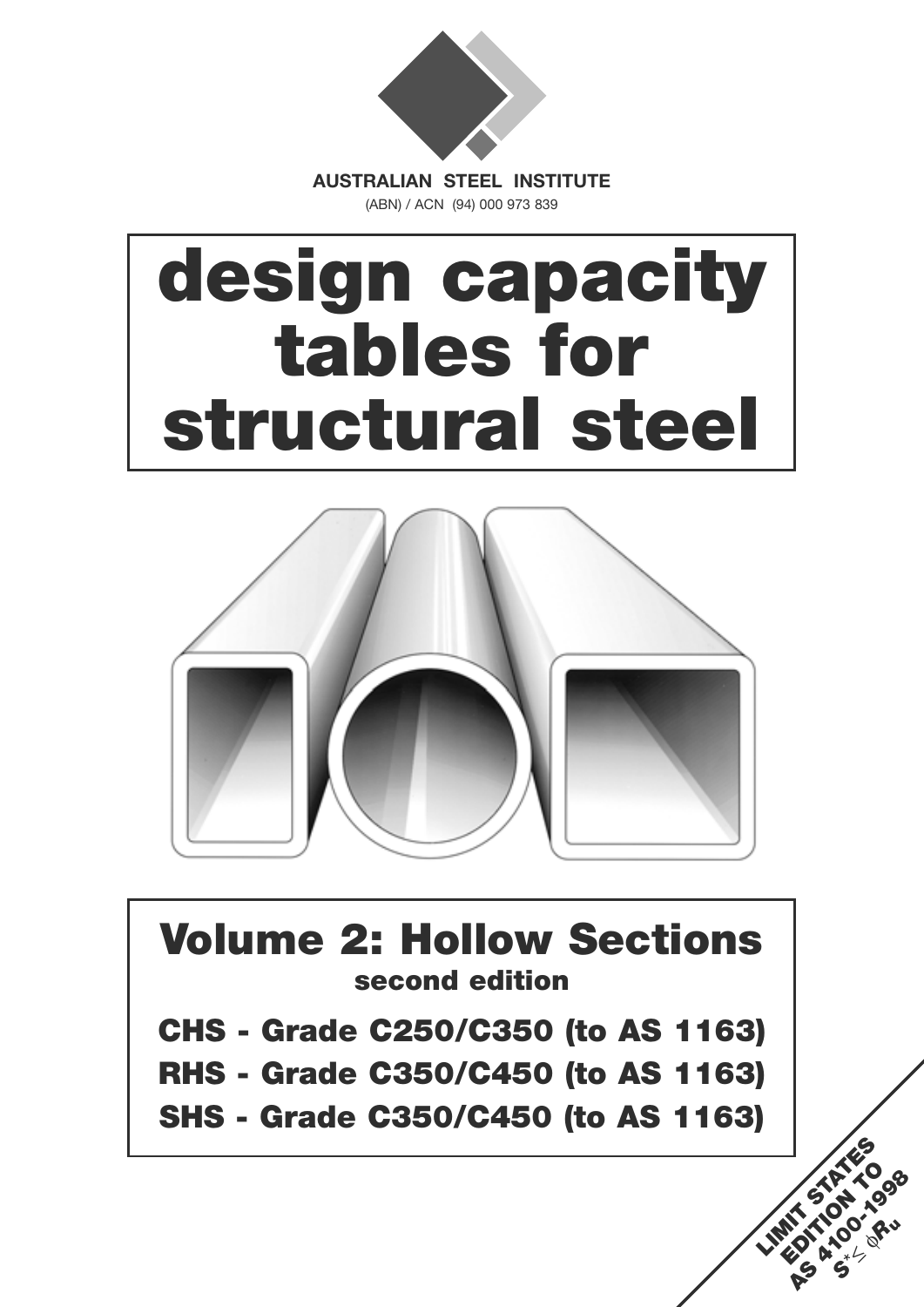

(ABN) / ACN (94) 000 973 839

# **design capacity tables for structural steel**



## **Volume 2: Hollow Sections second edition**

- **CHS Grade C250/C350 (to AS 1163)**
- **RHS Grade C350/C450 (to AS 1163)**
- **SHS Grade C350/C450 (to AS 1163)**

LIMIT STATES **EDITION OF AS 4100-41098** *<sup>S</sup>*\*<sup>≤</sup> <sup>φ</sup>*R***<sup>u</sup>**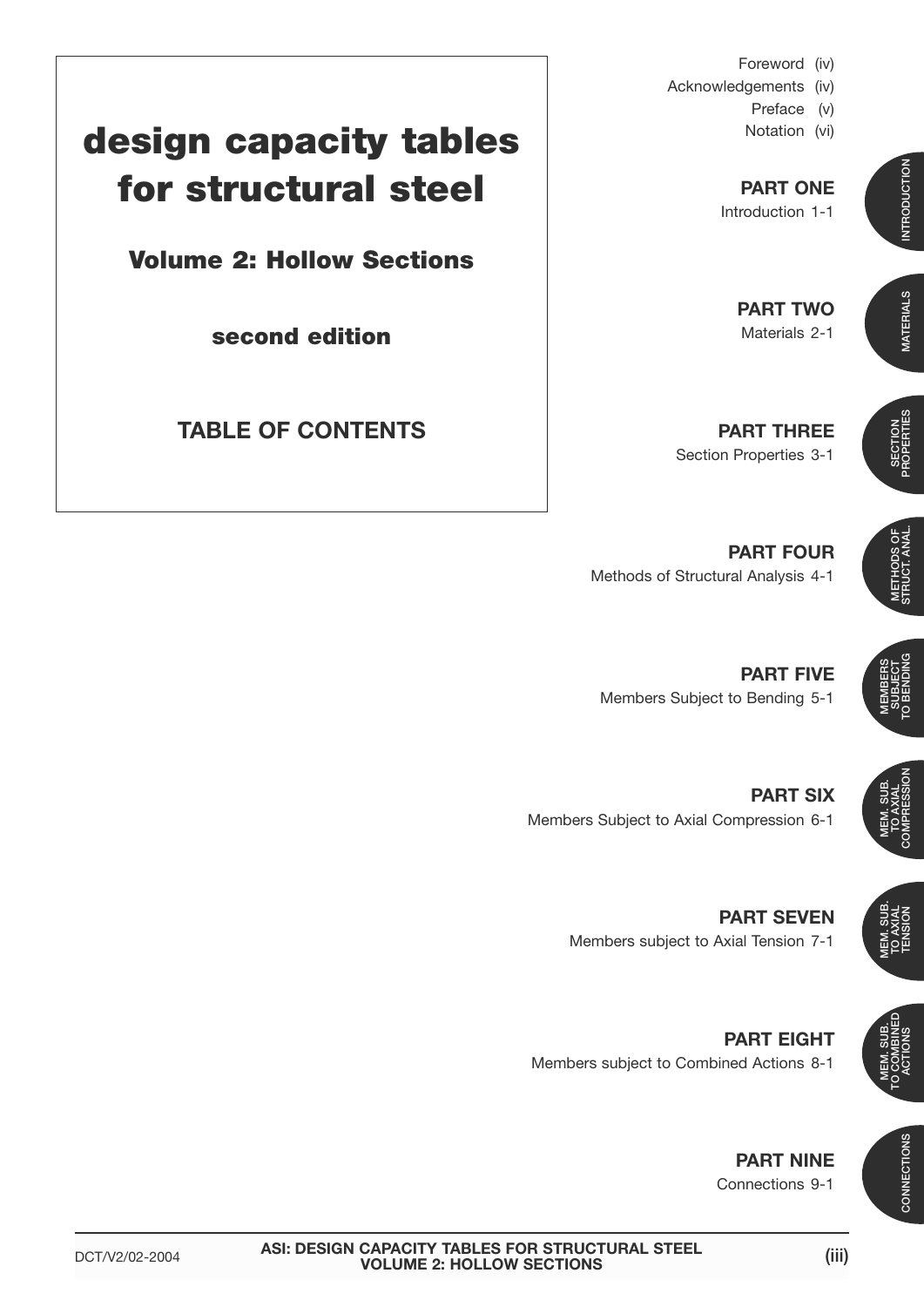- Foreword (iv)
- Acknowledgements (iv)
	- Preface (v)
		- Notation (vi)

**PART ONE** Introduction 1-1

> **PART TWO** Materials 2-1

**PART THREE** Section Properties 3-1

**PART FOUR** Methods of Structural Analysis 4-1

**PART FIVE** Members Subject to Bending 5-1

Members Subject to Axial Compression 6-1

**PART SEVEN** Members subject to Axial Tension 7-1

**PART EIGHT** Members subject to Combined Actions 8-1

### **PART NINE** Connections 9-1

## **design capacity tables for structural steel**

**Volume 2: Hollow Sections**

**second edition**

**TABLE OF CONTENTS**

**PART SIX**

**MEMBERS** SUBJECT TO BENDING



MEM. SUB. TO AXIAL **TENSION**